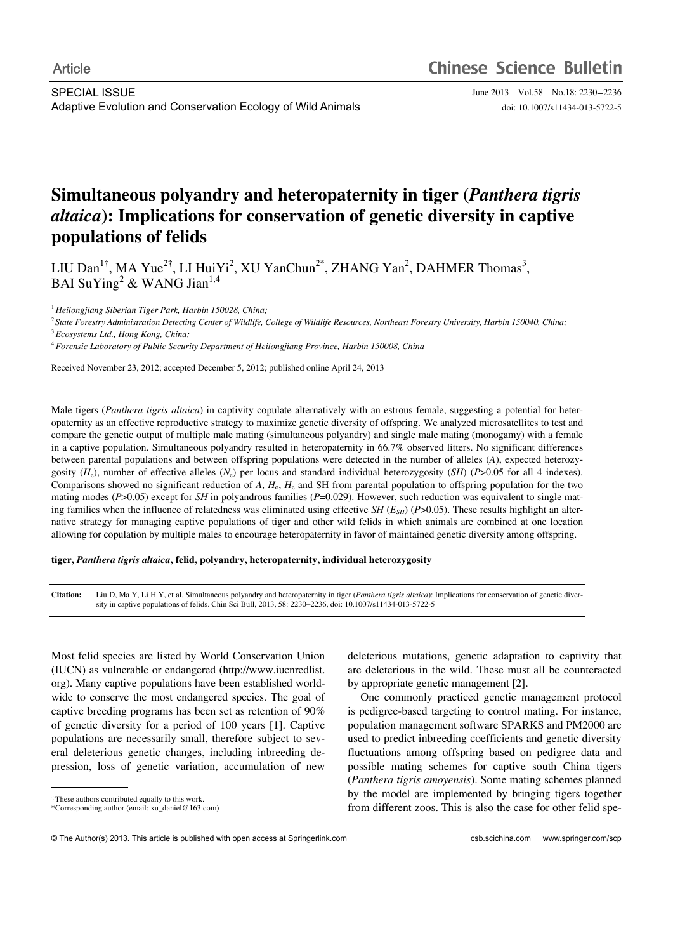# **Simultaneous polyandry and heteropaternity in tiger (***Panthera tigris altaica***): Implications for conservation of genetic diversity in captive populations of felids**

LIU Dan<sup>1†</sup>, MA Yue<sup>2†</sup>, LI HuiYi<sup>2</sup>, XU YanChun<sup>2\*</sup>, ZHANG Yan<sup>2</sup>, DAHMER Thomas<sup>3</sup>, BAI SuYing<sup>2</sup> & WANG Jian<sup>1,4</sup>

<sup>1</sup> *Heilongjiang Siberian Tiger Park, Harbin 150028, China;* 

<sup>2</sup> *State Forestry Administration Detecting Center of Wildlife, College of Wildlife Resources, Northeast Forestry University, Harbin 150040, China;* 

<sup>3</sup> *Ecosystems Ltd., Hong Kong, China;* 

<sup>4</sup> *Forensic Laboratory of Public Security Department of Heilongjiang Province, Harbin 150008, China* 

Received November 23, 2012; accepted December 5, 2012; published online April 24, 2013

Male tigers (*Panthera tigris altaica*) in captivity copulate alternatively with an estrous female, suggesting a potential for heteropaternity as an effective reproductive strategy to maximize genetic diversity of offspring. We analyzed microsatellites to test and compare the genetic output of multiple male mating (simultaneous polyandry) and single male mating (monogamy) with a female in a captive population. Simultaneous polyandry resulted in heteropaternity in 66.7% observed litters. No significant differences between parental populations and between offspring populations were detected in the number of alleles (*A*), expected heterozygosity  $(H_e)$ , number of effective alleles  $(N_e)$  per locus and standard individual heterozygosity  $(SH)$  (*P*>0.05 for all 4 indexes). Comparisons showed no significant reduction of *A*, *H*o, *H*e and SH from parental population to offspring population for the two mating modes (*P*>0.05) except for *SH* in polyandrous families (*P*=0.029). However, such reduction was equivalent to single mating families when the influence of relatedness was eliminated using effective  $SH(E_{SH})$  ( $P>0.05$ ). These results highlight an alternative strategy for managing captive populations of tiger and other wild felids in which animals are combined at one location allowing for copulation by multiple males to encourage heteropaternity in favor of maintained genetic diversity among offspring.

# **tiger,** *Panthera tigris altaica***,****felid, polyandry, heteropaternity, individual heterozygosity**

**Citation:** Liu D, Ma Y, Li H Y, et al. Simultaneous polyandry and heteropaternity in tiger (*Panthera tigris altaica*): Implications for conservation of genetic diversity in captive populations of felids. Chin Sci Bull, 2013, 58: 2230-2236, doi: 10.1007/s11434-013-5722-5

Most felid species are listed by World Conservation Union (IUCN) as vulnerable or endangered (http://www.iucnredlist. org). Many captive populations have been established worldwide to conserve the most endangered species. The goal of captive breeding programs has been set as retention of 90% of genetic diversity for a period of 100 years [1]. Captive populations are necessarily small, therefore subject to several deleterious genetic changes, including inbreeding depression, loss of genetic variation, accumulation of new

 $\overline{a}$ 

deleterious mutations, genetic adaptation to captivity that are deleterious in the wild. These must all be counteracted by appropriate genetic management [2].

One commonly practiced genetic management protocol is pedigree-based targeting to control mating. For instance, population management software SPARKS and PM2000 are used to predict inbreeding coefficients and genetic diversity fluctuations among offspring based on pedigree data and possible mating schemes for captive south China tigers (*Panthera tigris amoyensis*). Some mating schemes planned by the model are implemented by bringing tigers together from different zoos. This is also the case for other felid spe-

<sup>†</sup>These authors contributed equally to this work. \*Corresponding author (email: xu\_daniel@163.com)

<sup>©</sup> The Author(s) 2013. This article is published with open access at Springerlink.com csb.scichina.com www.springer.com/scp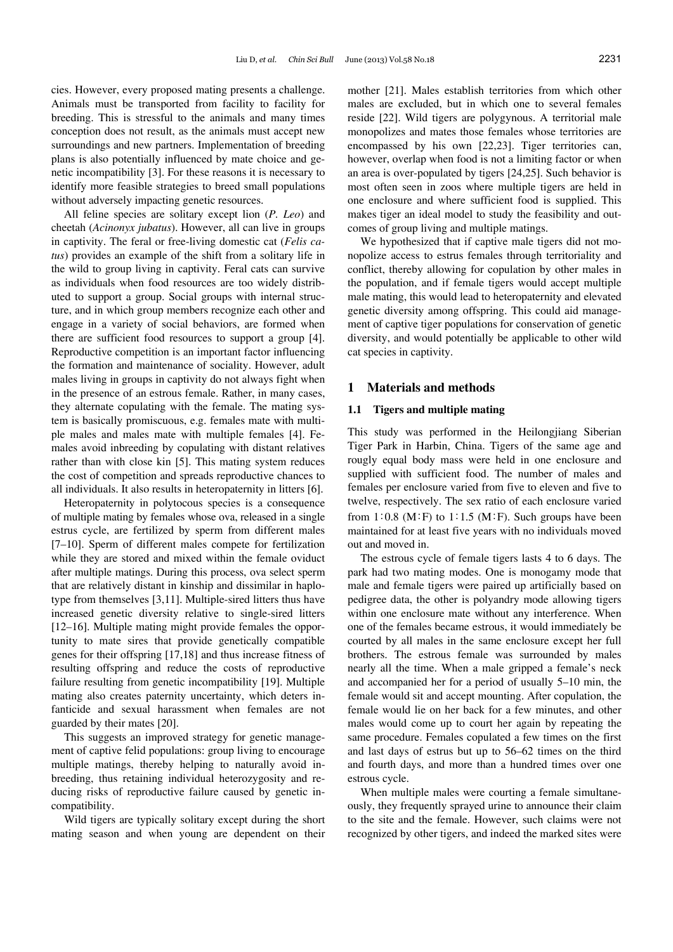cies. However, every proposed mating presents a challenge. Animals must be transported from facility to facility for breeding. This is stressful to the animals and many times conception does not result, as the animals must accept new surroundings and new partners. Implementation of breeding plans is also potentially influenced by mate choice and genetic incompatibility [3]. For these reasons it is necessary to identify more feasible strategies to breed small populations without adversely impacting genetic resources.

All feline species are solitary except lion (*P. Leo*) and cheetah (*Acinonyx jubatus*). However, all can live in groups in captivity. The feral or free-living domestic cat (*Felis catus*) provides an example of the shift from a solitary life in the wild to group living in captivity. Feral cats can survive as individuals when food resources are too widely distributed to support a group. Social groups with internal structure, and in which group members recognize each other and engage in a variety of social behaviors, are formed when there are sufficient food resources to support a group [4]. Reproductive competition is an important factor influencing the formation and maintenance of sociality. However, adult males living in groups in captivity do not always fight when in the presence of an estrous female. Rather, in many cases, they alternate copulating with the female. The mating system is basically promiscuous, e.g. females mate with multiple males and males mate with multiple females [4]. Females avoid inbreeding by copulating with distant relatives rather than with close kin [5]. This mating system reduces the cost of competition and spreads reproductive chances to all individuals. It also results in heteropaternity in litters [6].

Heteropaternity in polytocous species is a consequence of multiple mating by females whose ova, released in a single estrus cycle, are fertilized by sperm from different males [7–10]. Sperm of different males compete for fertilization while they are stored and mixed within the female oviduct after multiple matings. During this process, ova select sperm that are relatively distant in kinship and dissimilar in haplotype from themselves [3,11]. Multiple-sired litters thus have increased genetic diversity relative to single-sired litters [12–16]. Multiple mating might provide females the opportunity to mate sires that provide genetically compatible genes for their offspring [17,18] and thus increase fitness of resulting offspring and reduce the costs of reproductive failure resulting from genetic incompatibility [19]. Multiple mating also creates paternity uncertainty, which deters infanticide and sexual harassment when females are not guarded by their mates [20].

This suggests an improved strategy for genetic management of captive felid populations: group living to encourage multiple matings, thereby helping to naturally avoid inbreeding, thus retaining individual heterozygosity and reducing risks of reproductive failure caused by genetic incompatibility.

Wild tigers are typically solitary except during the short mating season and when young are dependent on their

mother [21]. Males establish territories from which other males are excluded, but in which one to several females reside [22]. Wild tigers are polygynous. A territorial male monopolizes and mates those females whose territories are encompassed by his own [22,23]. Tiger territories can, however, overlap when food is not a limiting factor or when an area is over-populated by tigers [24,25]. Such behavior is most often seen in zoos where multiple tigers are held in one enclosure and where sufficient food is supplied. This makes tiger an ideal model to study the feasibility and outcomes of group living and multiple matings.

We hypothesized that if captive male tigers did not monopolize access to estrus females through territoriality and conflict, thereby allowing for copulation by other males in the population, and if female tigers would accept multiple male mating, this would lead to heteropaternity and elevated genetic diversity among offspring. This could aid management of captive tiger populations for conservation of genetic diversity, and would potentially be applicable to other wild cat species in captivity.

## **1 Materials and methods**

## **1.1 Tigers and multiple mating**

This study was performed in the Heilongjiang Siberian Tiger Park in Harbin, China. Tigers of the same age and rougly equal body mass were held in one enclosure and supplied with sufficient food. The number of males and females per enclosure varied from five to eleven and five to twelve, respectively. The sex ratio of each enclosure varied from  $1:0.8$  (M:F) to  $1:1.5$  (M:F). Such groups have been maintained for at least five years with no individuals moved out and moved in.

The estrous cycle of female tigers lasts 4 to 6 days. The park had two mating modes. One is monogamy mode that male and female tigers were paired up artificially based on pedigree data, the other is polyandry mode allowing tigers within one enclosure mate without any interference. When one of the females became estrous, it would immediately be courted by all males in the same enclosure except her full brothers. The estrous female was surrounded by males nearly all the time. When a male gripped a female's neck and accompanied her for a period of usually 5–10 min, the female would sit and accept mounting. After copulation, the female would lie on her back for a few minutes, and other males would come up to court her again by repeating the same procedure. Females copulated a few times on the first and last days of estrus but up to 56–62 times on the third and fourth days, and more than a hundred times over one estrous cycle.

When multiple males were courting a female simultaneously, they frequently sprayed urine to announce their claim to the site and the female. However, such claims were not recognized by other tigers, and indeed the marked sites were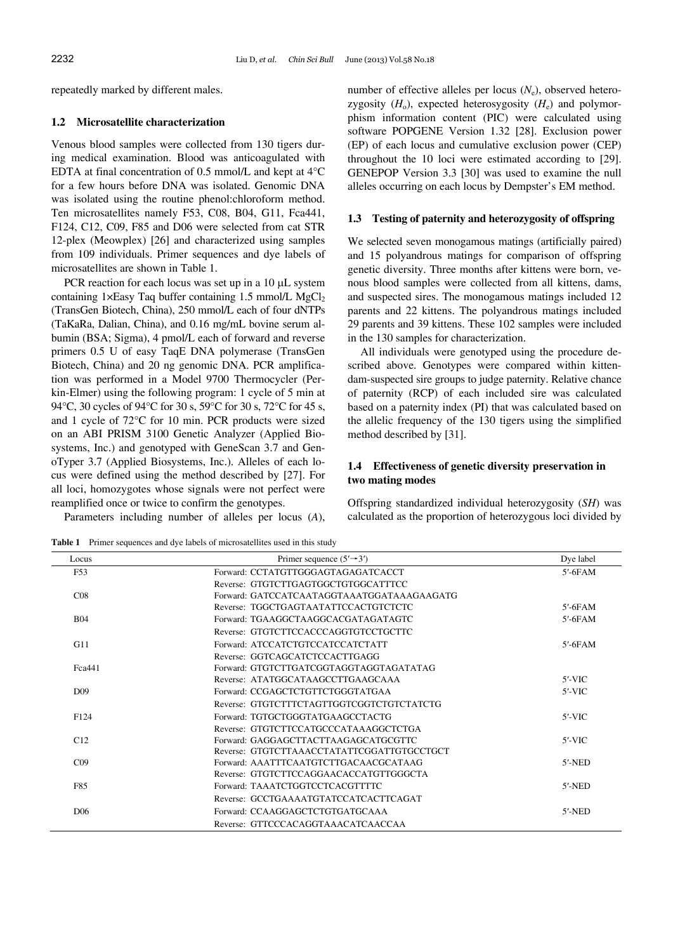repeatedly marked by different males.

## **1.2 Microsatellite characterization**

Venous blood samples were collected from 130 tigers during medical examination. Blood was anticoagulated with EDTA at final concentration of 0.5 mmol/L and kept at 4°C for a few hours before DNA was isolated. Genomic DNA was isolated using the routine phenol:chloroform method. Ten microsatellites namely F53, C08, B04, G11, Fca441, F124, C12, C09, F85 and D06 were selected from cat STR 12-plex (Meowplex) [26] and characterized using samples from 109 individuals. Primer sequences and dye labels of microsatellites are shown in Table 1.

PCR reaction for each locus was set up in a  $10 \mu L$  system containing  $1 \times$ Easy Taq buffer containing 1.5 mmol/L MgCl<sub>2</sub> (TransGen Biotech, China), 250 mmol/L each of four dNTPs (TaKaRa, Dalian, China), and 0.16 mg/mL bovine serum albumin (BSA; Sigma), 4 pmol/L each of forward and reverse primers 0.5 U of easy TaqE DNA polymerase (TransGen Biotech, China) and 20 ng genomic DNA. PCR amplification was performed in a Model 9700 Thermocycler (Perkin-Elmer) using the following program: 1 cycle of 5 min at 94°C, 30 cycles of 94°C for 30 s, 59°C for 30 s, 72°C for 45 s, and 1 cycle of 72°C for 10 min. PCR products were sized on an ABI PRISM 3100 Genetic Analyzer (Applied Biosystems, Inc.) and genotyped with GeneScan 3.7 and GenoTyper 3.7 (Applied Biosystems, Inc.). Alleles of each locus were defined using the method described by [27]. For all loci, homozygotes whose signals were not perfect were reamplified once or twice to confirm the genotypes.

Parameters including number of alleles per locus (*A*),

Table 1 Primer sequences and dye labels of microsatellites used in this study

number of effective alleles per locus  $(N_e)$ , observed heterozygosity  $(H_0)$ , expected heterosygosity  $(H_e)$  and polymorphism information content (PIC) were calculated using software POPGENE Version 1.32 [28]. Exclusion power (EP) of each locus and cumulative exclusion power (CEP) throughout the 10 loci were estimated according to [29]. GENEPOP Version 3.3 [30] was used to examine the null alleles occurring on each locus by Dempster's EM method.

## **1.3 Testing of paternity and heterozygosity of offspring**

We selected seven monogamous matings (artificially paired) and 15 polyandrous matings for comparison of offspring genetic diversity. Three months after kittens were born, venous blood samples were collected from all kittens, dams, and suspected sires. The monogamous matings included 12 parents and 22 kittens. The polyandrous matings included 29 parents and 39 kittens. These 102 samples were included in the 130 samples for characterization.

All individuals were genotyped using the procedure described above. Genotypes were compared within kittendam-suspected sire groups to judge paternity. Relative chance of paternity (RCP) of each included sire was calculated based on a paternity index (PI) that was calculated based on the allelic frequency of the 130 tigers using the simplified method described by [31].

# **1.4 Effectiveness of genetic diversity preservation in two mating modes**

Offspring standardized individual heterozygosity (*SH*) was calculated as the proportion of heterozygous loci divided by

| Locus           | Primer sequence $(5' \rightarrow 3')$      | Dye label      |
|-----------------|--------------------------------------------|----------------|
| F53             | Forward: CCTATGTTGGGAGTAGAGATCACCT         | $5'$ - $6$ FAM |
|                 | Reverse: GTGTCTTGAGTGGCTGTGGCATTTCC        |                |
| CO8             | Forward: GATCCATCAATAGGTAAATGGATAAAGAAGATG |                |
|                 | Reverse: TGGCTGAGTAATATTCCACTGTCTCTC       | $5'$ -6FAM     |
| <b>B04</b>      | Forward: TGAAGGCTAAGGCACGATAGATAGTC        | $5'$ -6FAM     |
|                 | Reverse: GTGTCTTCCACCCAGGTGTCCTGCTTC       |                |
| G11             | Forward: ATCCATCTGTCCATCCATCTATT           | $5'$ -6FAM     |
|                 | Reverse: GGTCAGCATCTCCACTTGAGG             |                |
| Fca441          | Forward: GTGTCTTGATCGGTAGGTAGGTAGATATAG    |                |
|                 | Reverse: ATATGGCATAAGCCTTGAAGCAAA          | $5'$ -VIC      |
| D <sub>09</sub> | Forward: CCGAGCTCTGTTCTGGGTATGAA           | $5'$ -VIC      |
|                 | Reverse: GTGTCTTTCTAGTTGGTCGGTCTGTCTATCTG  |                |
| F124            | Forward: TGTGCTGGGTATGAAGCCTACTG           | $5'$ -VIC      |
|                 | Reverse: GTGTCTTCCATGCCCATAAAGGCTCTGA      |                |
| C12             | Forward: GAGGAGCTTACTTAAGAGCATGCGTTC       | $5'$ -VIC      |
|                 | Reverse: GTGTCTTAAACCTATATTCGGATTGTGCCTGCT |                |
| CO9             | Forward: AAATTTCAATGTCTTGACAACGCATAAG      | $5'$ -NED      |
|                 | Reverse: GTGTCTTCCAGGAACACCATGTTGGGCTA     |                |
| F85             | Forward: TAAATCTGGTCCTCACGTTTTC            | $5'$ -NED      |
|                 | Reverse: GCCTGAAAATGTATCCATCACTTCAGAT      |                |
| D <sub>06</sub> | Forward: CCAAGGAGCTCTGTGATGCAAA            | $5'$ -NED      |
|                 | Reverse: GTTCCCACAGGTAAACATCAACCAA         |                |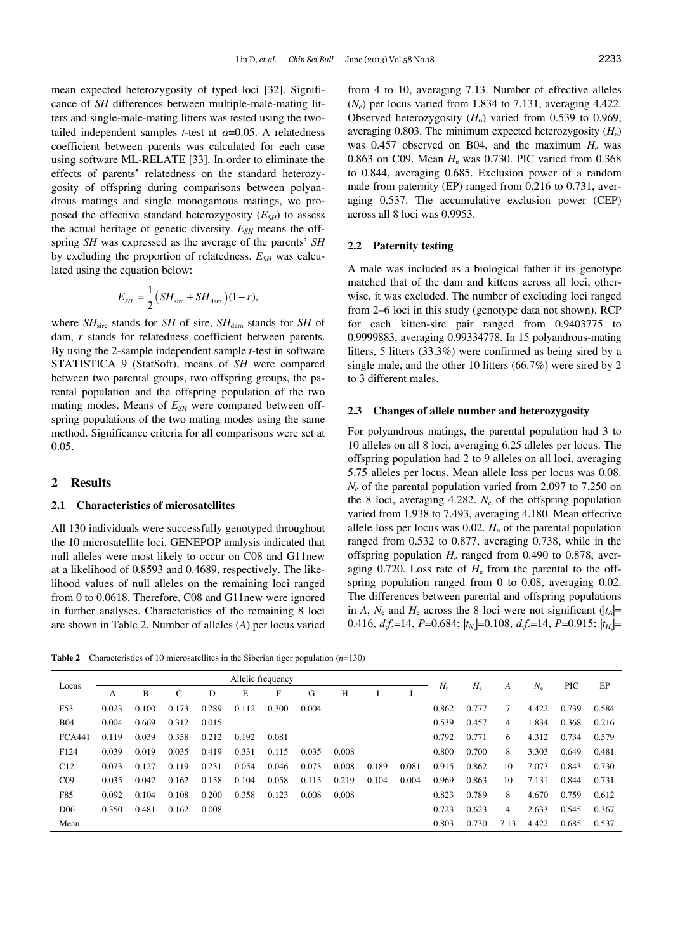mean expected heterozygosity of typed loci [32]. Significance of *SH* differences between multiple-male-mating litters and single-male-mating litters was tested using the twotailed independent samples *t*-test at  $\alpha = 0.05$ . A relatedness coefficient between parents was calculated for each case using software ML-RELATE [33]. In order to eliminate the effects of parents' relatedness on the standard heterozygosity of offspring during comparisons between polyandrous matings and single monogamous matings, we proposed the effective standard heterozygosity  $(E_{SH})$  to assess the actual heritage of genetic diversity.  $E_{SH}$  means the offspring *SH* was expressed as the average of the parents' *SH* by excluding the proportion of relatedness.  $E_{SH}$  was calculated using the equation below:

$$
E_{SH} = \frac{1}{2} \left( SH_{\text{sire}} + SH_{\text{dam}} \right) (1 - r),
$$

where  $SH<sub>sire</sub>$  stands for *SH* of sire,  $SH<sub>dam</sub>$  stands for *SH* of dam, *r* stands for relatedness coefficient between parents. By using the 2-sample independent sample *t*-test in software STATISTICA 9 (StatSoft), means of *SH* were compared between two parental groups, two offspring groups, the parental population and the offspring population of the two mating modes. Means of  $E_{SH}$  were compared between offspring populations of the two mating modes using the same method. Significance criteria for all comparisons were set at 0.05.

# **2 Results**

## **2.1 Characteristics of microsatellites**

All 130 individuals were successfully genotyped throughout the 10 microsatellite loci. GENEPOP analysis indicated that null alleles were most likely to occur on C08 and G11new at a likelihood of 0.8593 and 0.4689, respectively. The likelihood values of null alleles on the remaining loci ranged from 0 to 0.0618. Therefore, C08 and G11new were ignored in further analyses. Characteristics of the remaining 8 loci are shown in Table 2. Number of alleles (*A*) per locus varied from 4 to 10, averaging 7.13. Number of effective alleles  $(N_e)$  per locus varied from 1.834 to 7.131, averaging 4.422. Observed heterozygosity  $(H_0)$  varied from 0.539 to 0.969, averaging 0.803. The minimum expected heterozygosity  $(H_e)$ was 0.457 observed on B04, and the maximum  $H<sub>e</sub>$  was 0.863 on C09. Mean *H*e was 0.730. PIC varied from 0.368 to 0.844, averaging 0.685. Exclusion power of a random male from paternity (EP) ranged from 0.216 to 0.731, averaging 0.537. The accumulative exclusion power (CEP) across all 8 loci was 0.9953.

#### **2.2 Paternity testing**

A male was included as a biological father if its genotype matched that of the dam and kittens across all loci, otherwise, it was excluded. The number of excluding loci ranged from 2–6 loci in this study (genotype data not shown). RCP for each kitten-sire pair ranged from 0.9403775 to 0.9999883, averaging 0.99334778. In 15 polyandrous-mating litters, 5 litters (33.3%) were confirmed as being sired by a single male, and the other 10 litters (66.7%) were sired by 2 to 3 different males.

#### **2.3 Changes of allele number and heterozygosity**

For polyandrous matings, the parental population had 3 to 10 alleles on all 8 loci, averaging 6.25 alleles per locus. The offspring population had 2 to 9 alleles on all loci, averaging 5.75 alleles per locus. Mean allele loss per locus was 0.08. *N*e of the parental population varied from 2.097 to 7.250 on the 8 loci, averaging 4.282.  $N_e$  of the offspring population varied from 1.938 to 7.493, averaging 4.180. Mean effective allele loss per locus was 0.02.  $H_e$  of the parental population ranged from 0.532 to 0.877, averaging 0.738, while in the offspring population  $H_e$  ranged from 0.490 to 0.878, averaging 0.720. Loss rate of  $H<sub>e</sub>$  from the parental to the offspring population ranged from 0 to 0.08, averaging 0.02. The differences between parental and offspring populations in *A*,  $N_e$  and  $H_e$  across the 8 loci were not significant ( $|t_A|=$ 0.416, *d.f.*=14, *P*=0.684;  $|t_{N_c}|$ =0.108, *d.f.*=14, *P*=0.915;  $|t_{H_c}|$ =

**Table 2** Characteristics of 10 microsatellites in the Siberian tiger population (*n*=130)

| Locus            | Allelic frequency |       |       |       |       |       |       |       |       |       |             |             |      |             |       |       |
|------------------|-------------------|-------|-------|-------|-------|-------|-------|-------|-------|-------|-------------|-------------|------|-------------|-------|-------|
|                  | А                 | B     | C     | D     | E     | F     | G     | H     |       |       | $H_{\rm o}$ | $H_{\rm e}$ | А    | $N_{\rm e}$ | PIC   | EP    |
| F53              | 0.023             | 0.100 | 0.173 | 0.289 | 0.112 | 0.300 | 0.004 |       |       |       | 0.862       | 0.777       | 7    | 4.422       | 0.739 | 0.584 |
| <b>B04</b>       | 0.004             | 0.669 | 0.312 | 0.015 |       |       |       |       |       |       | 0.539       | 0.457       | 4    | 1.834       | 0.368 | 0.216 |
| <b>FCA441</b>    | 0.119             | 0.039 | 0.358 | 0.212 | 0.192 | 0.081 |       |       |       |       | 0.792       | 0.771       | 6    | 4.312       | 0.734 | 0.579 |
| F <sub>124</sub> | 0.039             | 0.019 | 0.035 | 0.419 | 0.331 | 0.115 | 0.035 | 0.008 |       |       | 0.800       | 0.700       | 8    | 3.303       | 0.649 | 0.481 |
| C12              | 0.073             | 0.127 | 0.119 | 0.231 | 0.054 | 0.046 | 0.073 | 0.008 | 0.189 | 0.081 | 0.915       | 0.862       | 10   | 7.073       | 0.843 | 0.730 |
| CO9              | 0.035             | 0.042 | 0.162 | 0.158 | 0.104 | 0.058 | 0.115 | 0.219 | 0.104 | 0.004 | 0.969       | 0.863       | 10   | 7.131       | 0.844 | 0.731 |
| F85              | 0.092             | 0.104 | 0.108 | 0.200 | 0.358 | 0.123 | 0.008 | 0.008 |       |       | 0.823       | 0.789       | 8    | 4.670       | 0.759 | 0.612 |
| D <sub>06</sub>  | 0.350             | 0.481 | 0.162 | 0.008 |       |       |       |       |       |       | 0.723       | 0.623       | 4    | 2.633       | 0.545 | 0.367 |
| Mean             |                   |       |       |       |       |       |       |       |       |       | 0.803       | 0.730       | 7.13 | 4.422       | 0.685 | 0.537 |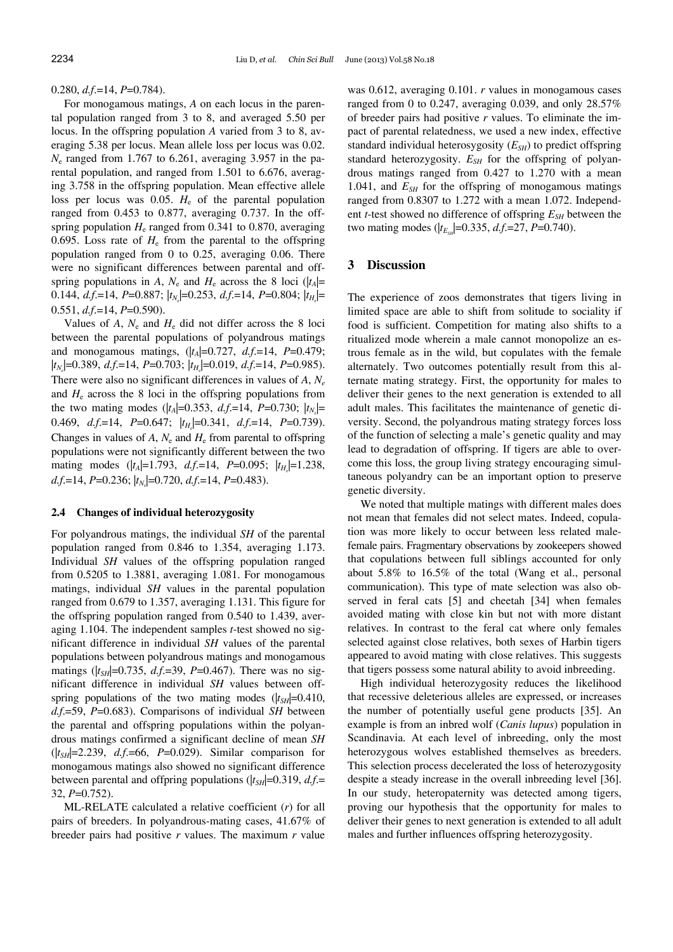0.280, *d.f*.=14, *P*=0.784).

For monogamous matings, *A* on each locus in the parental population ranged from 3 to 8, and averaged 5.50 per locus. In the offspring population *A* varied from 3 to 8, averaging 5.38 per locus. Mean allele loss per locus was 0.02. *N*e ranged from 1.767 to 6.261, averaging 3.957 in the parental population, and ranged from 1.501 to 6.676, averaging 3.758 in the offspring population. Mean effective allele loss per locus was  $0.05$ .  $H<sub>e</sub>$  of the parental population ranged from 0.453 to 0.877, averaging 0.737. In the offspring population  $H<sub>e</sub>$  ranged from 0.341 to 0.870, averaging 0.695. Loss rate of  $H<sub>e</sub>$  from the parental to the offspring population ranged from 0 to 0.25, averaging 0.06. There were no significant differences between parental and offspring populations in *A*,  $N_e$  and  $H_e$  across the 8 loci ( $|t_A|=$ 0.144, *d.f.*=14, *P*=0.887;  $|t_{N_c}|$ =0.253, *d.f.*=14, *P*=0.804;  $|t_{H_c}|$ = 0.551, *d.f*.=14, *P*=0.590).

Values of  $A$ ,  $N_e$  and  $H_e$  did not differ across the 8 loci between the parental populations of polyandrous matings and monogamous matings,  $(|t_A|=0.727, d.f.=14, P=0.479;$  $|t_{N_c}|$ =0.389, *d.f.*=14, *P*=0.703;  $|t_{H_c}|$ =0.019, *d.f.*=14, *P*=0.985). There were also no significant differences in values of *A*, *Ne* and  $H<sub>e</sub>$  across the 8 loci in the offspring populations from the two mating modes ( $|t_A|$ =0.353, *d.f.*=14, *P*=0.730;  $|t_{N_c}|$ = 0.469, *d.f.*=14, *P*=0.647;  $|t_{H_c}|$ =0.341, *d.f.*=14, *P*=0.739). Changes in values of  $A$ ,  $N_e$  and  $H_e$  from parental to offspring populations were not significantly different between the two mating modes  $(|t_A|=1.793, d.f.=14, P=0.095; |t_{H_c}|=1.238,$ *d.f.*=14, *P*=0.236;  $|t_{N_c}|$ =0.720, *d.f.*=14, *P*=0.483).

#### **2.4 Changes of individual heterozygosity**

For polyandrous matings, the individual *SH* of the parental population ranged from 0.846 to 1.354, averaging 1.173. Individual *SH* values of the offspring population ranged from 0.5205 to 1.3881, averaging 1.081. For monogamous matings, individual *SH* values in the parental population ranged from 0.679 to 1.357, averaging 1.131. This figure for the offspring population ranged from 0.540 to 1.439, averaging 1.104. The independent samples *t*-test showed no significant difference in individual *SH* values of the parental populations between polyandrous matings and monogamous matings ( $|t_{SH}|$ =0.735, *d.f.*=39, *P*=0.467). There was no significant difference in individual *SH* values between offspring populations of the two mating modes  $(|t_{SH}|=0.410)$ , *d.f*.=59, *P*=0.683). Comparisons of individual *SH* between the parental and offspring populations within the polyandrous matings confirmed a significant decline of mean *SH* (|*tSH*|=2.239, *d.f*.=66, *P*=0.029). Similar comparison for monogamous matings also showed no significant difference between parental and offpring populations ( $|t_{SH}|$ =0.319, *d.f.*= 32, *P*=0.752).

ML-RELATE calculated a relative coefficient (*r*) for all pairs of breeders. In polyandrous-mating cases, 41.67% of breeder pairs had positive *r* values. The maximum *r* value was 0.612, averaging 0.101. *r* values in monogamous cases ranged from 0 to 0.247, averaging 0.039, and only 28.57% of breeder pairs had positive *r* values. To eliminate the impact of parental relatedness, we used a new index, effective standard individual heterosygosity (*E<sub>SH</sub>*) to predict offspring standard heterozygosity.  $E_{SH}$  for the offspring of polyandrous matings ranged from 0.427 to 1.270 with a mean 1.041, and  $E_{SH}$  for the offspring of monogamous matings ranged from 0.8307 to 1.272 with a mean 1.072. Independent *t*-test showed no difference of offspring  $E_{SH}$  between the two mating modes ( $|t_{E_{\text{S}}}=0.335, d.f.=27, P=0.740$ ).

## **3 Discussion**

The experience of zoos demonstrates that tigers living in limited space are able to shift from solitude to sociality if food is sufficient. Competition for mating also shifts to a ritualized mode wherein a male cannot monopolize an estrous female as in the wild, but copulates with the female alternately. Two outcomes potentially result from this alternate mating strategy. First, the opportunity for males to deliver their genes to the next generation is extended to all adult males. This facilitates the maintenance of genetic diversity. Second, the polyandrous mating strategy forces loss of the function of selecting a male's genetic quality and may lead to degradation of offspring. If tigers are able to overcome this loss, the group living strategy encouraging simultaneous polyandry can be an important option to preserve genetic diversity.

We noted that multiple matings with different males does not mean that females did not select mates. Indeed, copulation was more likely to occur between less related malefemale pairs. Fragmentary observations by zookeepers showed that copulations between full siblings accounted for only about 5.8% to 16.5% of the total (Wang et al., personal communication). This type of mate selection was also observed in feral cats [5] and cheetah [34] when females avoided mating with close kin but not with more distant relatives. In contrast to the feral cat where only females selected against close relatives, both sexes of Harbin tigers appeared to avoid mating with close relatives. This suggests that tigers possess some natural ability to avoid inbreeding.

High individual heterozygosity reduces the likelihood that recessive deleterious alleles are expressed, or increases the number of potentially useful gene products [35]. An example is from an inbred wolf (*Canis lupus*) population in Scandinavia. At each level of inbreeding, only the most heterozygous wolves established themselves as breeders. This selection process decelerated the loss of heterozygosity despite a steady increase in the overall inbreeding level [36]. In our study, heteropaternity was detected among tigers, proving our hypothesis that the opportunity for males to deliver their genes to next generation is extended to all adult males and further influences offspring heterozygosity.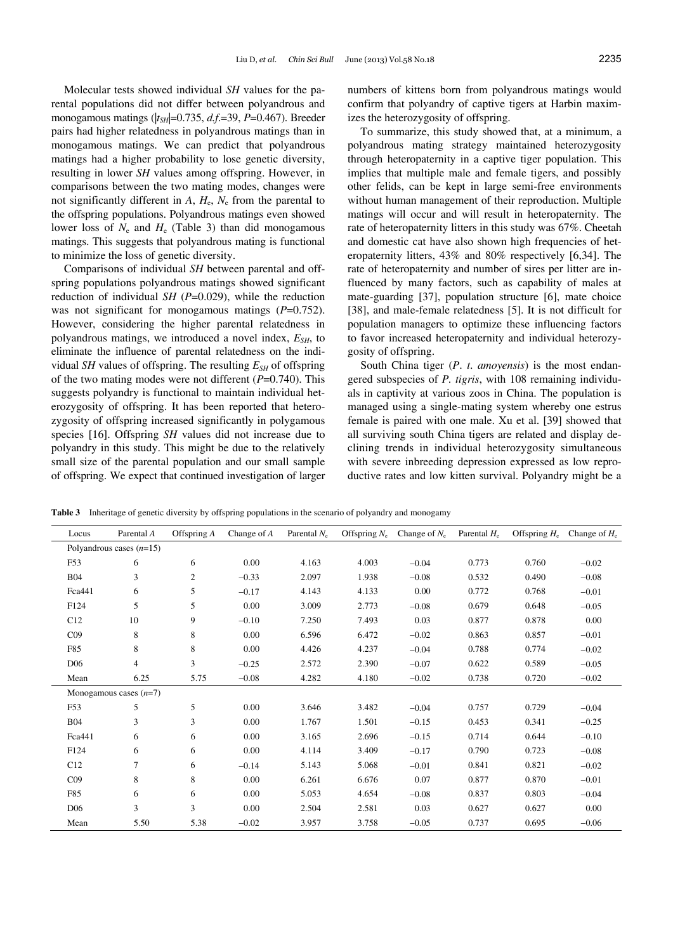Molecular tests showed individual *SH* values for the parental populations did not differ between polyandrous and monogamous matings ( $|t_{SH}|$ =0.735, *d.f*.=39, *P*=0.467). Breeder pairs had higher relatedness in polyandrous matings than in monogamous matings. We can predict that polyandrous matings had a higher probability to lose genetic diversity, resulting in lower *SH* values among offspring. However, in comparisons between the two mating modes, changes were not significantly different in  $A$ ,  $H_e$ ,  $N_e$  from the parental to the offspring populations. Polyandrous matings even showed lower loss of  $N_e$  and  $H_e$  (Table 3) than did monogamous matings. This suggests that polyandrous mating is functional to minimize the loss of genetic diversity.

Comparisons of individual *SH* between parental and offspring populations polyandrous matings showed significant reduction of individual *SH* (*P*=0.029), while the reduction was not significant for monogamous matings ( $P=0.752$ ). However, considering the higher parental relatedness in polyandrous matings, we introduced a novel index,  $E_{SH}$ , to eliminate the influence of parental relatedness on the individual *SH* values of offspring. The resulting  $E_{SH}$  of offspring of the two mating modes were not different (*P*=0.740). This suggests polyandry is functional to maintain individual heterozygosity of offspring. It has been reported that heterozygosity of offspring increased significantly in polygamous species [16]. Offspring *SH* values did not increase due to polyandry in this study. This might be due to the relatively small size of the parental population and our small sample of offspring. We expect that continued investigation of larger numbers of kittens born from polyandrous matings would confirm that polyandry of captive tigers at Harbin maximizes the heterozygosity of offspring.

To summarize, this study showed that, at a minimum, a polyandrous mating strategy maintained heterozygosity through heteropaternity in a captive tiger population. This implies that multiple male and female tigers, and possibly other felids, can be kept in large semi-free environments without human management of their reproduction. Multiple matings will occur and will result in heteropaternity. The rate of heteropaternity litters in this study was 67%. Cheetah and domestic cat have also shown high frequencies of heteropaternity litters, 43% and 80% respectively [6,34]. The rate of heteropaternity and number of sires per litter are influenced by many factors, such as capability of males at mate-guarding [37], population structure [6], mate choice [38], and male-female relatedness [5]. It is not difficult for population managers to optimize these influencing factors to favor increased heteropaternity and individual heterozygosity of offspring.

South China tiger (*P*. *t*. *amoyensis*) is the most endangered subspecies of *P. tigris*, with 108 remaining individuals in captivity at various zoos in China. The population is managed using a single-mating system whereby one estrus female is paired with one male. Xu et al. [39] showed that all surviving south China tigers are related and display declining trends in individual heterozygosity simultaneous with severe inbreeding depression expressed as low reproductive rates and low kitten survival. Polyandry might be a

**Table 3** Inheritage of genetic diversity by offspring populations in the scenario of polyandry and monogamy

| Locus           | Parental A                 | Offspring $A$  | Change of $A$ | Parental $N_e$ | Offspring $N_{e}$ | Change of $N_e$ | Parental $H_e$ | Offspring $H_e$ | Change of $H_e$ |
|-----------------|----------------------------|----------------|---------------|----------------|-------------------|-----------------|----------------|-----------------|-----------------|
|                 | Polyandrous cases $(n=15)$ |                |               |                |                   |                 |                |                 |                 |
| F53             | 6                          | 6              | 0.00          | 4.163          | 4.003             | $-0.04$         | 0.773          | 0.760           | $-0.02$         |
| <b>B04</b>      | 3                          | $\overline{c}$ | $-0.33$       | 2.097          | 1.938             | $-0.08$         | 0.532          | 0.490           | $-0.08$         |
| Fca441          | 6                          | 5              | $-0.17$       | 4.143          | 4.133             | 0.00            | 0.772          | 0.768           | $-0.01$         |
| F124            | 5                          | 5              | 0.00          | 3.009          | 2.773             | $-0.08$         | 0.679          | 0.648           | $-0.05$         |
| C12             | 10                         | 9              | $-0.10$       | 7.250          | 7.493             | 0.03            | 0.877          | 0.878           | $0.00\,$        |
| CO9             | 8                          | 8              | 0.00          | 6.596          | 6.472             | $-0.02$         | 0.863          | 0.857           | $-0.01$         |
| F85             | 8                          | 8              | 0.00          | 4.426          | 4.237             | $-0.04$         | 0.788          | 0.774           | $-0.02$         |
| D <sub>06</sub> | 4                          | 3              | $-0.25$       | 2.572          | 2.390             | $-0.07$         | 0.622          | 0.589           | $-0.05$         |
| Mean            | 6.25                       | 5.75           | $-0.08$       | 4.282          | 4.180             | $-0.02$         | 0.738          | 0.720           | $-0.02$         |
|                 | Monogamous cases $(n=7)$   |                |               |                |                   |                 |                |                 |                 |
| F53             | 5                          | 5              | 0.00          | 3.646          | 3.482             | $-0.04$         | 0.757          | 0.729           | $-0.04$         |
| <b>B04</b>      | 3                          | 3              | 0.00          | 1.767          | 1.501             | $-0.15$         | 0.453          | 0.341           | $-0.25$         |
| Fca441          | 6                          | 6              | 0.00          | 3.165          | 2.696             | $-0.15$         | 0.714          | 0.644           | $-0.10$         |
| F124            | 6                          | 6              | 0.00          | 4.114          | 3.409             | $-0.17$         | 0.790          | 0.723           | $-0.08$         |
| C12             | 7                          | 6              | $-0.14$       | 5.143          | 5.068             | $-0.01$         | 0.841          | 0.821           | $-0.02$         |
| CO <sub>9</sub> | 8                          | 8              | 0.00          | 6.261          | 6.676             | 0.07            | 0.877          | 0.870           | $-0.01$         |
| F85             | 6                          | 6              | 0.00          | 5.053          | 4.654             | $-0.08$         | 0.837          | 0.803           | $-0.04$         |
| D <sub>06</sub> | 3                          | 3              | 0.00          | 2.504          | 2.581             | 0.03            | 0.627          | 0.627           | $0.00\,$        |
| Mean            | 5.50                       | 5.38           | $-0.02$       | 3.957          | 3.758             | $-0.05$         | 0.737          | 0.695           | $-0.06$         |